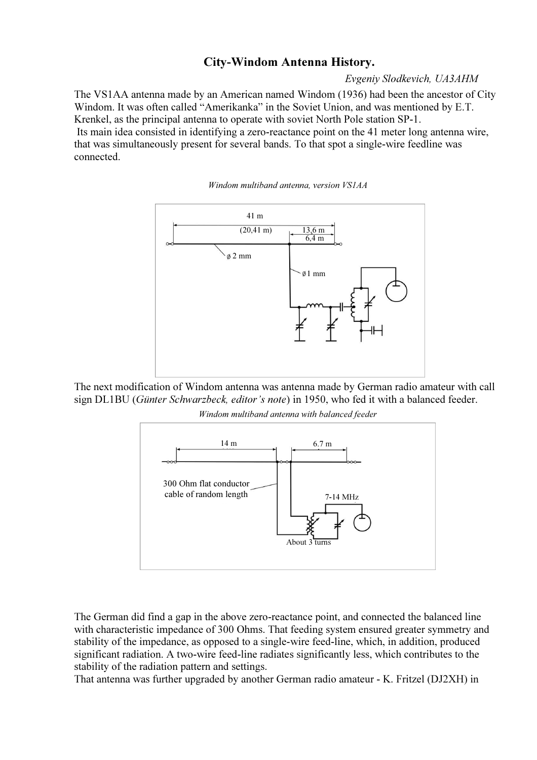## City-Windom Antenna History.

Evgeniy Slodkevich, UA3AHM

The VS1AA antenna made by an American named Windom (1936) had been the ancestor of City Windom. It was often called "Amerikanka" in the Soviet Union, and was mentioned by E.T. Krenkel, as the principal antenna to operate with soviet North Pole station SP-1.

 Its main idea consisted in identifying a zero-reactance point on the 41 meter long antenna wire, that was simultaneously present for several bands. To that spot a single-wire feedline was connected.





The next modification of Windom antenna was antenna made by German radio amateur with call sign DL1BU (Günter Schwarzbeck, editor's note) in 1950, who fed it with a balanced feeder.

Windom multiband antenna with balanced feeder



The German did find a gap in the above zero-reactance point, and connected the balanced line with characteristic impedance of 300 Ohms. That feeding system ensured greater symmetry and stability of the impedance, as opposed to a single-wire feed-line, which, in addition, produced significant radiation. A two-wire feed-line radiates significantly less, which contributes to the stability of the radiation pattern and settings.

That antenna was further upgraded by another German radio amateur - K. Fritzel (DJ2XH) in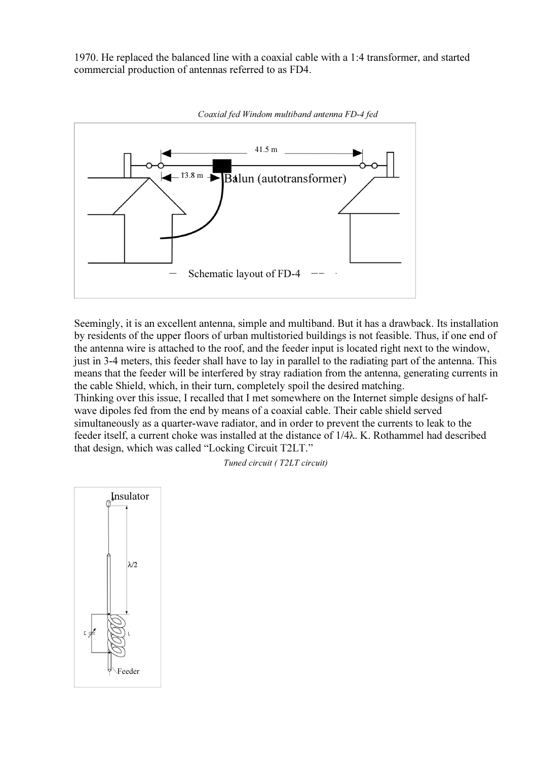1970. He replaced the balanced line with a coaxial cable with a 1:4 transformer, and started commercial production of antennas referred to as FD4.



Seemingly, it is an excellent antenna, simple and multiband. But it has a drawback. Its installation by residents of the upper floors of urban multistoried buildings is not feasible. Thus, if one end of the antenna wire is attached to the roof, and the feeder input is located right next to the window, just in 3-4 meters, this feeder shall have to lay in parallel to the radiating part of the antenna. This means that the feeder will be interfered by stray radiation from the antenna, generating currents in the cable Shield, which, in their turn, completely spoil the desired matching. Thinking over this issue, I recalled that I met somewhere on the Internet simple designs of halfwave dipoles fed from the end by means of a coaxial cable. Their cable shield served simultaneously as a quarter-wave radiator, and in order to prevent the currents to leak to the feeder itself, a current choke was installed at the distance of 1/4λ. K. Rothammel had described that design, which was called "Locking Circuit T2LT."

Tuned circuit ( T2LT circuit)

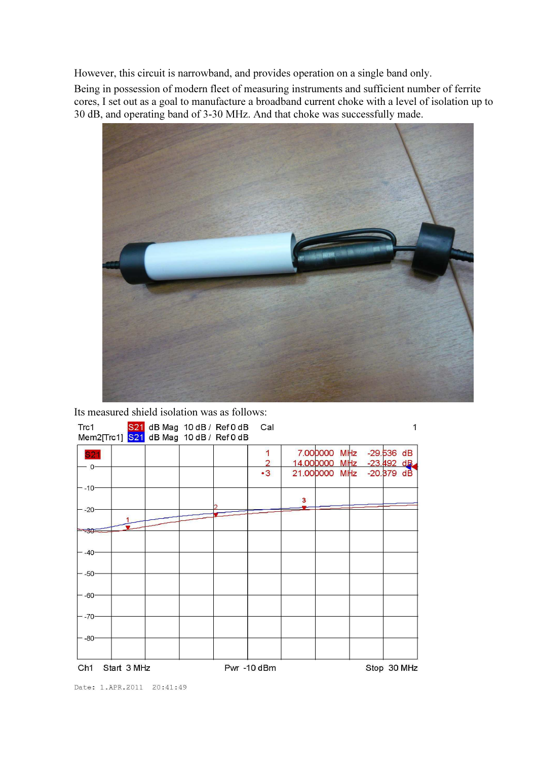However, this circuit is narrowband, and provides operation on a single band only.

Being in possession of modern fleet of measuring instruments and sufficient number of ferrite cores, I set out as a goal to manufacture a broadband current choke with a level of isolation up to 30 dB, and operating band of 3-30 MHz. And that choke was successfully made.



Its measured shield isolation was as follows:

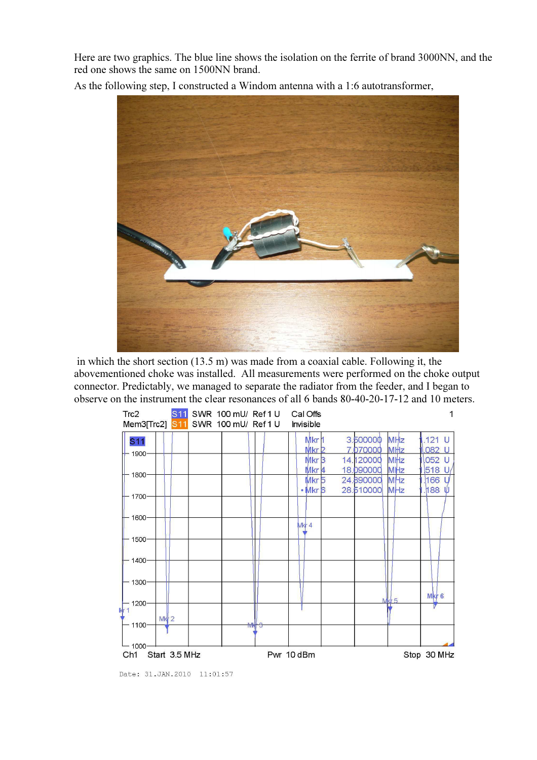Here are two graphics. The blue line shows the isolation on the ferrite of brand 3000NN, and the red one shows the same on 1500NN brand.

As the following step, I constructed a Windom antenna with a 1:6 autotransformer,



 in which the short section (13.5 m) was made from a coaxial cable. Following it, the abovementioned choke was installed. All measurements were performed on the choke output connector. Predictably, we managed to separate the radiator from the feeder, and I began to observe on the instrument the clear resonances of all 6 bands 80-40-20-17-12 and 10 meters.



Date: 31. JAN. 2010 11:01:57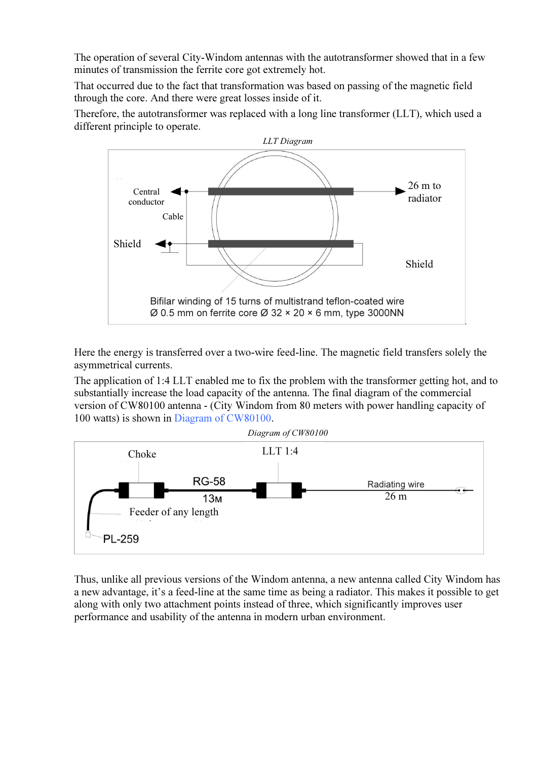The operation of several City-Windom antennas with the autotransformer showed that in a few minutes of transmission the ferrite core got extremely hot.

That occurred due to the fact that transformation was based on passing of the magnetic field through the core. And there were great losses inside of it.

Therefore, the autotransformer was replaced with a long line transformer (LLT), which used a different principle to operate.



Here the energy is transferred over a two-wire feed-line. The magnetic field transfers solely the asymmetrical currents.

The application of 1:4 LLT enabled me to fix the problem with the transformer getting hot, and to substantially increase the load capacity of the antenna. The final diagram of the commercial version of CW80100 antenna - (City Windom from 80 meters with power handling capacity of 100 watts) is shown in Diagram of CW80100.



Thus, unlike all previous versions of the Windom antenna, a new antenna called City Windom has a new advantage, it's a feed-line at the same time as being a radiator. This makes it possible to get along with only two attachment points instead of three, which significantly improves user performance and usability of the antenna in modern urban environment.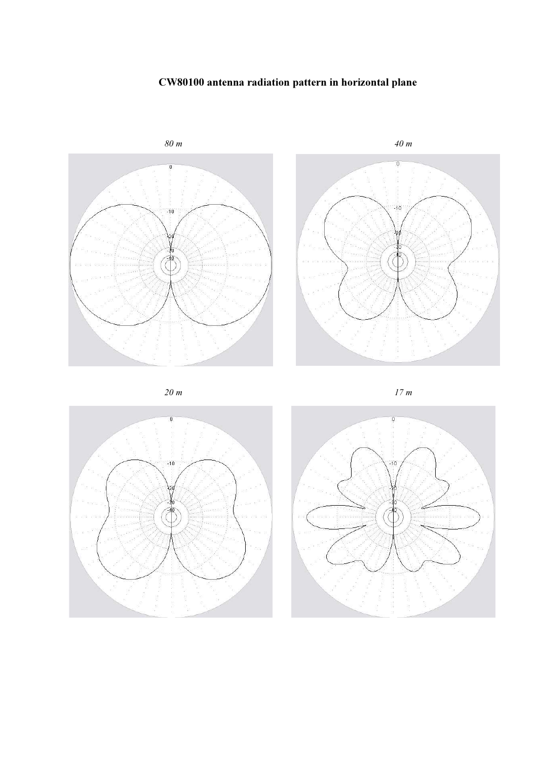## CW80100 antenna radiation pattern in horizontal plane